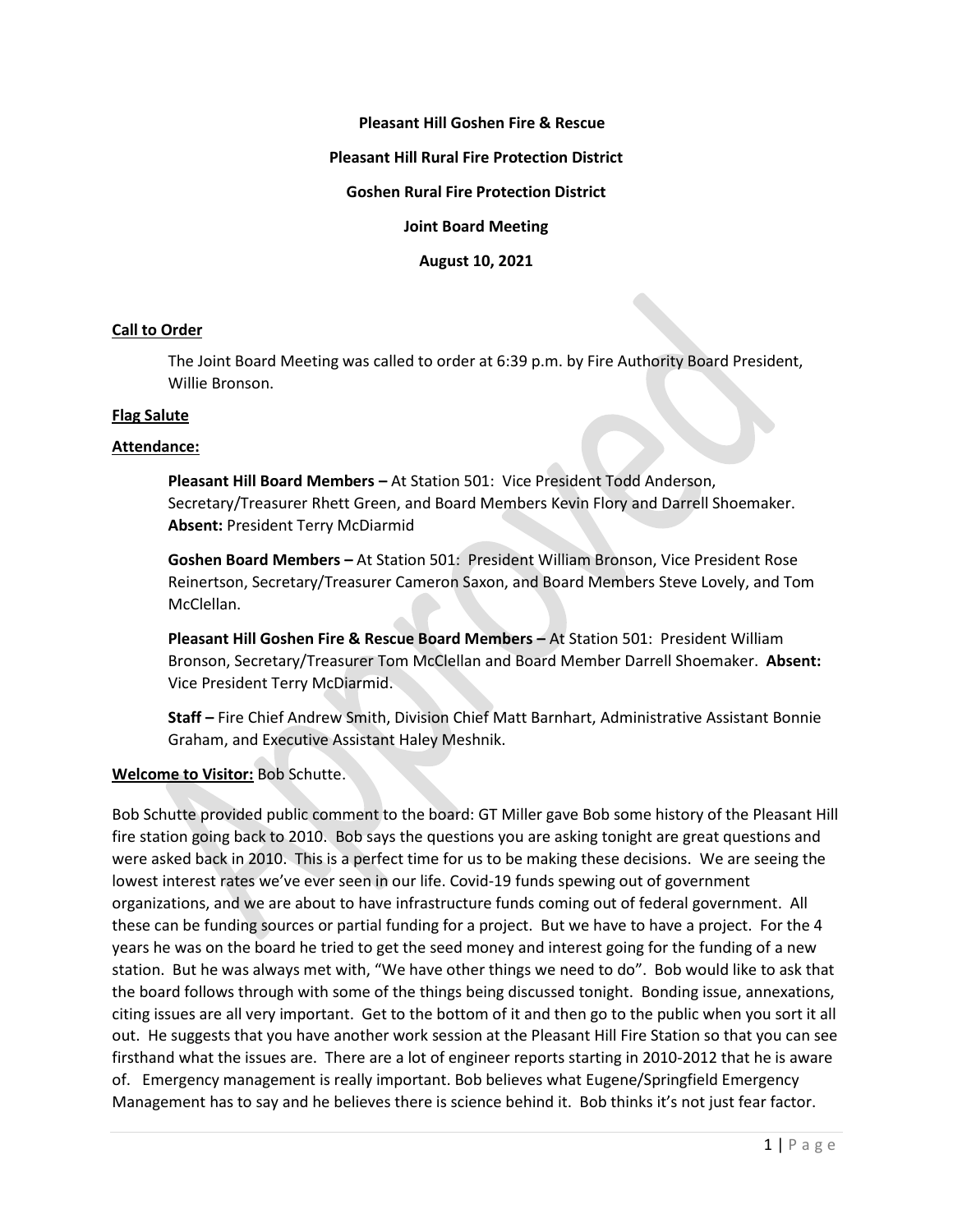# **Pleasant Hill Goshen Fire & Rescue**

#### **Pleasant Hill Rural Fire Protection District**

## **Goshen Rural Fire Protection District**

**Joint Board Meeting**

**August 10, 2021**

### **Call to Order**

The Joint Board Meeting was called to order at 6:39 p.m. by Fire Authority Board President, Willie Bronson.

### **Flag Salute**

## **Attendance:**

**Pleasant Hill Board Members –** At Station 501: Vice President Todd Anderson, Secretary/Treasurer Rhett Green, and Board Members Kevin Flory and Darrell Shoemaker. **Absent:** President Terry McDiarmid

**Goshen Board Members –** At Station 501: President William Bronson, Vice President Rose Reinertson, Secretary/Treasurer Cameron Saxon, and Board Members Steve Lovely, and Tom McClellan.

**Pleasant Hill Goshen Fire & Rescue Board Members –** At Station 501: President William Bronson, Secretary/Treasurer Tom McClellan and Board Member Darrell Shoemaker. **Absent:**  Vice President Terry McDiarmid.

**Staff –** Fire Chief Andrew Smith, Division Chief Matt Barnhart, Administrative Assistant Bonnie Graham, and Executive Assistant Haley Meshnik.

## **Welcome to Visitor:** Bob Schutte.

Bob Schutte provided public comment to the board: GT Miller gave Bob some history of the Pleasant Hill fire station going back to 2010. Bob says the questions you are asking tonight are great questions and were asked back in 2010. This is a perfect time for us to be making these decisions. We are seeing the lowest interest rates we've ever seen in our life. Covid-19 funds spewing out of government organizations, and we are about to have infrastructure funds coming out of federal government. All these can be funding sources or partial funding for a project. But we have to have a project. For the 4 years he was on the board he tried to get the seed money and interest going for the funding of a new station. But he was always met with, "We have other things we need to do". Bob would like to ask that the board follows through with some of the things being discussed tonight. Bonding issue, annexations, citing issues are all very important. Get to the bottom of it and then go to the public when you sort it all out. He suggests that you have another work session at the Pleasant Hill Fire Station so that you can see firsthand what the issues are. There are a lot of engineer reports starting in 2010-2012 that he is aware of. Emergency management is really important. Bob believes what Eugene/Springfield Emergency Management has to say and he believes there is science behind it. Bob thinks it's not just fear factor.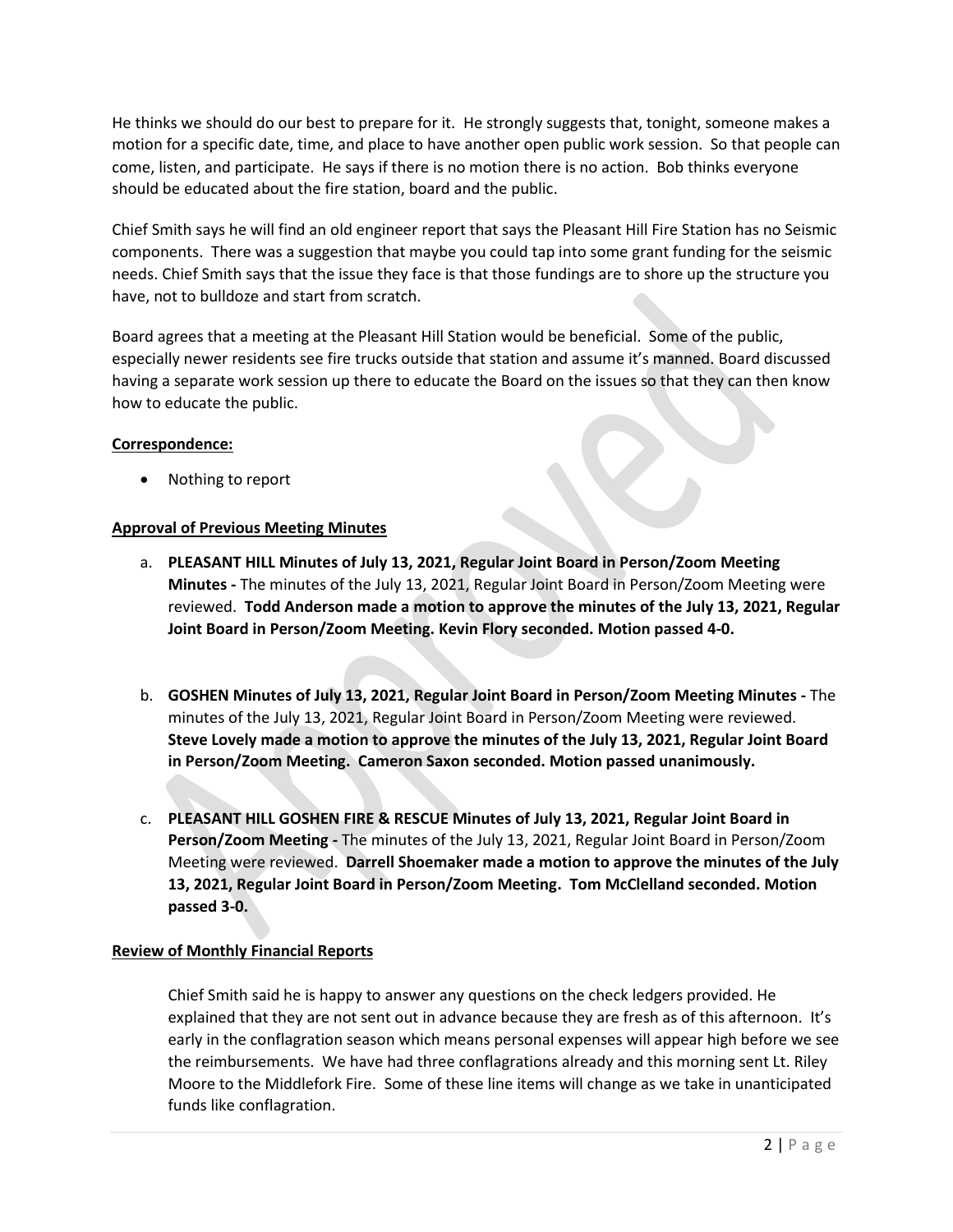He thinks we should do our best to prepare for it. He strongly suggests that, tonight, someone makes a motion for a specific date, time, and place to have another open public work session. So that people can come, listen, and participate. He says if there is no motion there is no action. Bob thinks everyone should be educated about the fire station, board and the public.

Chief Smith says he will find an old engineer report that says the Pleasant Hill Fire Station has no Seismic components. There was a suggestion that maybe you could tap into some grant funding for the seismic needs. Chief Smith says that the issue they face is that those fundings are to shore up the structure you have, not to bulldoze and start from scratch.

Board agrees that a meeting at the Pleasant Hill Station would be beneficial. Some of the public, especially newer residents see fire trucks outside that station and assume it's manned. Board discussed having a separate work session up there to educate the Board on the issues so that they can then know how to educate the public.

## **Correspondence:**

• Nothing to report

# **Approval of Previous Meeting Minutes**

- a. **PLEASANT HILL Minutes of July 13, 2021, Regular Joint Board in Person/Zoom Meeting Minutes -** The minutes of the July 13, 2021, Regular Joint Board in Person/Zoom Meeting were reviewed. **Todd Anderson made a motion to approve the minutes of the July 13, 2021, Regular Joint Board in Person/Zoom Meeting. Kevin Flory seconded. Motion passed 4-0.**
- b. **GOSHEN Minutes of July 13, 2021, Regular Joint Board in Person/Zoom Meeting Minutes -** The minutes of the July 13, 2021, Regular Joint Board in Person/Zoom Meeting were reviewed. **Steve Lovely made a motion to approve the minutes of the July 13, 2021, Regular Joint Board in Person/Zoom Meeting. Cameron Saxon seconded. Motion passed unanimously.**
- c. **PLEASANT HILL GOSHEN FIRE & RESCUE Minutes of July 13, 2021, Regular Joint Board in Person/Zoom Meeting -** The minutes of the July 13, 2021, Regular Joint Board in Person/Zoom Meeting were reviewed. **Darrell Shoemaker made a motion to approve the minutes of the July 13, 2021, Regular Joint Board in Person/Zoom Meeting. Tom McClelland seconded. Motion passed 3-0.**

# **Review of Monthly Financial Reports**

Chief Smith said he is happy to answer any questions on the check ledgers provided. He explained that they are not sent out in advance because they are fresh as of this afternoon. It's early in the conflagration season which means personal expenses will appear high before we see the reimbursements. We have had three conflagrations already and this morning sent Lt. Riley Moore to the Middlefork Fire. Some of these line items will change as we take in unanticipated funds like conflagration.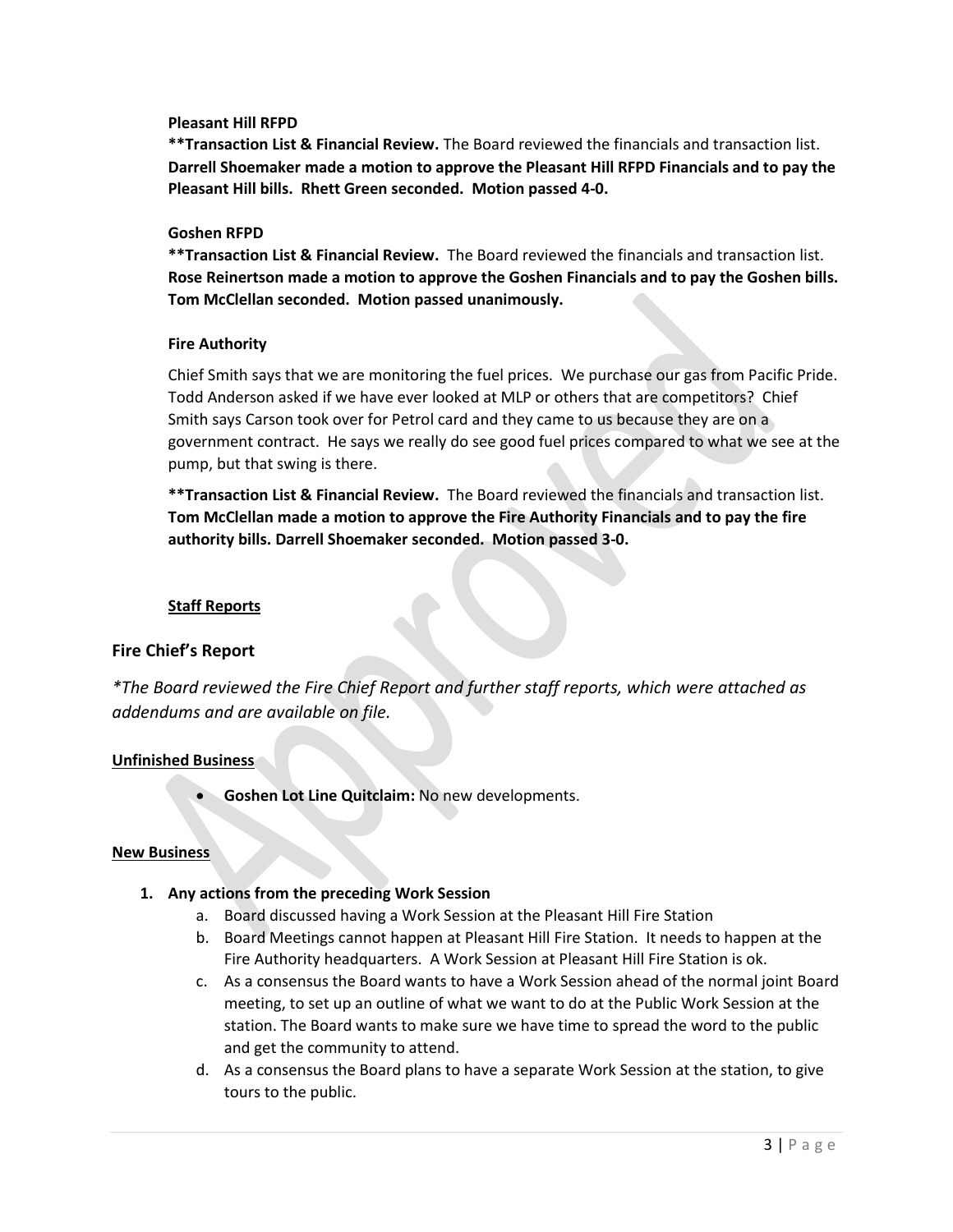### **Pleasant Hill RFPD**

**\*\*Transaction List & Financial Review.** The Board reviewed the financials and transaction list. **Darrell Shoemaker made a motion to approve the Pleasant Hill RFPD Financials and to pay the Pleasant Hill bills. Rhett Green seconded. Motion passed 4-0.**

### **Goshen RFPD**

**\*\*Transaction List & Financial Review.** The Board reviewed the financials and transaction list. **Rose Reinertson made a motion to approve the Goshen Financials and to pay the Goshen bills. Tom McClellan seconded. Motion passed unanimously.**

### **Fire Authority**

Chief Smith says that we are monitoring the fuel prices. We purchase our gas from Pacific Pride. Todd Anderson asked if we have ever looked at MLP or others that are competitors? Chief Smith says Carson took over for Petrol card and they came to us because they are on a government contract. He says we really do see good fuel prices compared to what we see at the pump, but that swing is there.

**\*\*Transaction List & Financial Review.** The Board reviewed the financials and transaction list. **Tom McClellan made a motion to approve the Fire Authority Financials and to pay the fire authority bills. Darrell Shoemaker seconded. Motion passed 3-0.**

## **Staff Reports**

## **Fire Chief's Report**

*\*The Board reviewed the Fire Chief Report and further staff reports, which were attached as addendums and are available on file.* 

## **Unfinished Business**

• **Goshen Lot Line Quitclaim:** No new developments.

#### **New Business**

- **1. Any actions from the preceding Work Session** 
	- a. Board discussed having a Work Session at the Pleasant Hill Fire Station
	- b. Board Meetings cannot happen at Pleasant Hill Fire Station. It needs to happen at the Fire Authority headquarters. A Work Session at Pleasant Hill Fire Station is ok.
	- c. As a consensus the Board wants to have a Work Session ahead of the normal joint Board meeting, to set up an outline of what we want to do at the Public Work Session at the station. The Board wants to make sure we have time to spread the word to the public and get the community to attend.
	- d. As a consensus the Board plans to have a separate Work Session at the station, to give tours to the public.